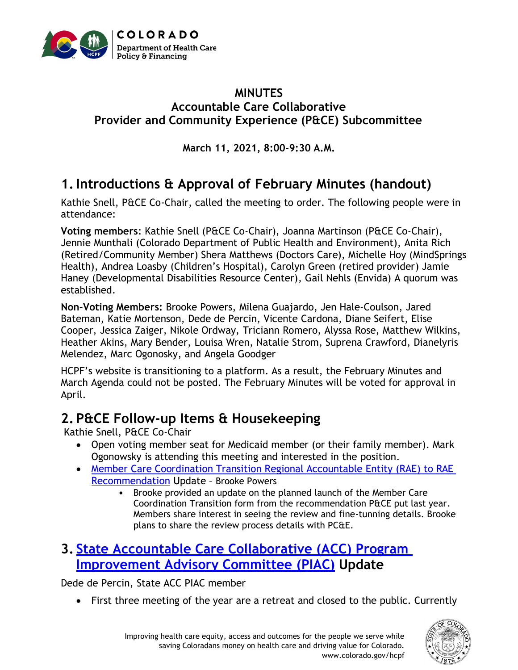

#### **MINUTES Accountable Care Collaborative Provider and Community Experience (P&CE) Subcommittee**

**March 11, 2021, 8:00-9:30 A.M.**

# **1.Introductions & Approval of February Minutes (handout)**

Kathie Snell, P&CE Co-Chair, called the meeting to order. The following people were in attendance:

**Voting members**: Kathie Snell (P&CE Co-Chair), Joanna Martinson (P&CE Co-Chair), Jennie Munthali (Colorado Department of Public Health and Environment), Anita Rich (Retired/Community Member) Shera Matthews (Doctors Care), Michelle Hoy (MindSprings Health), Andrea Loasby (Children's Hospital), Carolyn Green (retired provider) Jamie Haney (Developmental Disabilities Resource Center), Gail Nehls (Envida) A quorum was established.

**Non-Voting Members:** Brooke Powers, Milena Guajardo, Jen Hale-Coulson, Jared Bateman, Katie Mortenson, Dede de Percin, Vicente Cardona, Diane Seifert, Elise Cooper, Jessica Zaiger, Nikole Ordway, Triciann Romero, Alyssa Rose, Matthew Wilkins, Heather Akins, Mary Bender, Louisa Wren, Natalie Strom, Suprena Crawford, Dianelyris Melendez, Marc Ogonosky, and Angela Goodger

HCPF's website is transitioning to a platform. As a result, the February Minutes and March Agenda could not be posted. The February Minutes will be voted for approval in April.

### **2. P&CE Follow-up Items & Housekeeping**

Kathie Snell, P&CE Co-Chair

- Open voting member seat for Medicaid member (or their family member). Mark Ogonowsky is attending this meeting and interested in the position.
- [Member Care Coordination Transition Regional Accountable Entity \(RAE\)](https://www.colorado.gov/pacific/sites/default/files/Accountable%20Care%20Collaborative%20Program%20Improvement%20Advisory%20Committee%20Provider%20and%20Community%20Experience%20Subcommittee%20Recommendations%20October%202020.pdf) to RAE [Recommendation](https://www.colorado.gov/pacific/sites/default/files/Accountable%20Care%20Collaborative%20Program%20Improvement%20Advisory%20Committee%20Provider%20and%20Community%20Experience%20Subcommittee%20Recommendations%20October%202020.pdf) Update – Brooke Powers
	- Brooke provided an update on the planned launch of the Member Care Coordination Transition form from the recommendation P&CE put last year. Members share interest in seeing the review and fine-tunning details. Brooke plans to share the review process details with PC&E.

## **3. [State Accountable Care Collaborative \(ACC\) Program](https://www.colorado.gov/pacific/hcpf/accountable-care-collaborative-program-improvement-advisory-committee)  [Improvement Advisory Committee](https://www.colorado.gov/pacific/hcpf/accountable-care-collaborative-program-improvement-advisory-committee) (PIAC) Update**

Dede de Percin, State ACC PIAC member

• First three meeting of the year are a retreat and closed to the public. Currently